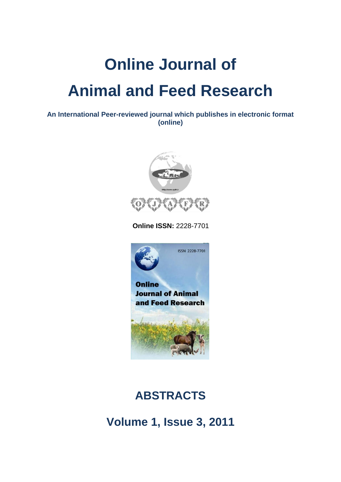# **Online Journal of Animal and Feed Research**

**An International Peer-reviewed journal which publishes in electronic format (online)**



 **Online ISSN:** 2228-7701



## **ABSTRACTS**

**Volume 1, Issue 3, 2011**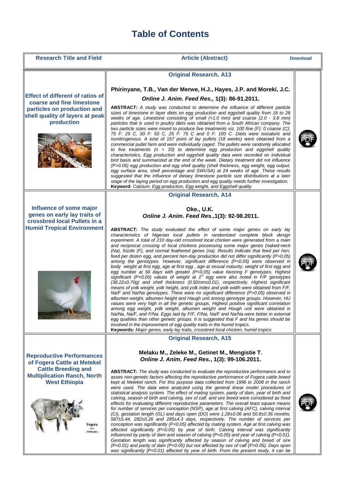## **Table of Contents**

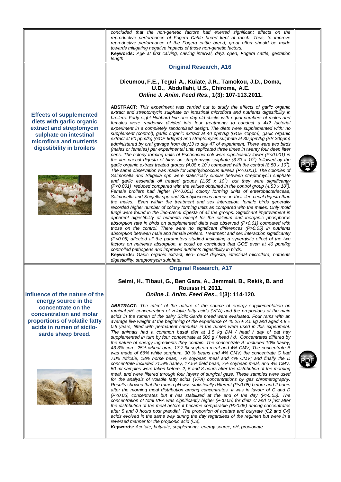|                                                                                                                                                                                             | concluded that the non-genetic factors had exerted significant effects on the<br>reproductive performance of Fogera Cattle breed kept at ranch. Thus, to improve<br>reproductive performance of the Fogera cattle breed, great effort should be made<br>towards mitigating negative impacts of those non-genetic factors.<br>Keywords: Age at first calving, calving interval, days open, Fogera cattle, gestation<br>length                                                                                                                                                                                                                                                                                                                                                                                                                                                                                                                                                                                                                                                                                                                                                                                                                                                                                                                                                                                                                                                                                                                                                                                                                                                                                                                                                                                                                                                                                                                                                                                                                                                                                                                                                                                                                                                                                                                                                                                                                                                                                                                                                                                                                                                                                                                                                                                                                                                                                                            |  |
|---------------------------------------------------------------------------------------------------------------------------------------------------------------------------------------------|-----------------------------------------------------------------------------------------------------------------------------------------------------------------------------------------------------------------------------------------------------------------------------------------------------------------------------------------------------------------------------------------------------------------------------------------------------------------------------------------------------------------------------------------------------------------------------------------------------------------------------------------------------------------------------------------------------------------------------------------------------------------------------------------------------------------------------------------------------------------------------------------------------------------------------------------------------------------------------------------------------------------------------------------------------------------------------------------------------------------------------------------------------------------------------------------------------------------------------------------------------------------------------------------------------------------------------------------------------------------------------------------------------------------------------------------------------------------------------------------------------------------------------------------------------------------------------------------------------------------------------------------------------------------------------------------------------------------------------------------------------------------------------------------------------------------------------------------------------------------------------------------------------------------------------------------------------------------------------------------------------------------------------------------------------------------------------------------------------------------------------------------------------------------------------------------------------------------------------------------------------------------------------------------------------------------------------------------------------------------------------------------------------------------------------------------------------------------------------------------------------------------------------------------------------------------------------------------------------------------------------------------------------------------------------------------------------------------------------------------------------------------------------------------------------------------------------------------------------------------------------------------------------------------------------------------|--|
| <b>Effects of supplemented</b><br>diets with garlic organic<br>extract and streptomycin<br>sulphate on intestinal<br>microflora and nutrients<br>digestibility in broilers                  | <b>Original Research, A16</b><br>Dieumou, F.E., Tegui A., Kuiate, J.R., Tamokou, J.D., Doma,<br>U.D., Abdullahi, U.S., Chiroma, A.E.<br>Online J. Anim. Feed Res., 1(3): 107-113.2011.<br>ABSTRACT: This experiment was carried out to study the effects of garlic organic<br>extract and streptomycin sulphate on intestinal microflora and nutrients digestibility in<br>broilers. Forty eight Hubbard line one day old chicks with equal numbers of males and<br>females were randomly divided into four treatments to conduct a 4x2 factorial<br>experiment in a completely randomised design. The diets were supplemented with: no<br>supplement (control), garlic organic extract at 40 ppm/kg (GOE 40ppm), garlic organic<br>extract at 60 ppm/kg (GOE 60ppm) and streptomycin sulphate at 30 ppm/kg (SS 30ppm)<br>administered by oral gavage from day13 to day 47 of experiment. There were two birds<br>(males or females) per experimental unit, replicated three times in twenty four deep litter<br>pens. The colony forming units of Escherichia coli were significantly lower (P<0.001) in<br>the ileo-caecal digesta of birds on streptomycin sulphate $(3.33 \times 10^5)$ followed by the<br>garlic organic extract treated groups (4.08 x 10 <sup>5</sup> ) compared with the control (8.50 x 10 <sup>5</sup> ).<br>The same observation was made for Staphylococcus aureus (P<0.001). The colonies of<br>Salmonella and Shigella spp were statistically similar between streptomycin sulphate<br>and garlic essential oil treated groups (1.65 x $10^5$ ), but they were significantly<br>$($ P<0.001) reduced compared with the values obtained in the control group $(4.53 \times 10^{\circ})$ .<br>Female broilers had higher (P<0.001) colony forming units of enterobacteriaceae,<br>Salmonella and Shigella spp and Staphylococcus aureus in their ileo cecal digesta than<br>the males. Even within the treatment and sex interaction, female birds generally<br>recorded higher number of colony forming units as compared with the males. Only mold<br>fungi were found in the ileo-cæcal digesta of all the groups. Significant improvement in<br>apparent digestibility of nutrients except for the calcium and inorganic phosphorus<br>absorption rate in birds on supplemented diets was observed $(P<0.01)$ compared with<br>those on the control. There were no significant differences (P>0.05) in nutrients<br>absorption between male and female broilers. Treatment and sex interaction significantly<br>(P<0.05) affected all the parameters studied indicating a synergistic effect of the two<br>factors on nutrients absorption. It could be concluded that GOE even at 40 ppm/kg<br>controlled pathogens and improved nutrients digestibility in birds.<br>Keywords: Garlic organic extract, ileo- cecal digesta, intestinal microflora, nutrients<br>digestibility, streptomycin sulphate. |  |
| Influence of the nature of the<br>energy source in the<br>concentrate on the<br>concentration and molar<br>proportions of volatile fatty<br>acids in rumen of sicilo-<br>sarde sheep breed. | <b>Original Research, A17</b><br>Selmi, H., Tibaui, G., Ben Gara, A., Jemmali, B., Rekik, B. and<br>Rouissi H. 2011.<br>Online J. Anim. Feed Res., 1(3): 114-120.<br><b>ABSTRACT:</b> The effect of the nature of the source of energy supplementation on<br>ruminal pH, concentration of volatile fatty acids (VFA) and the proportions of the main<br>acids in the rumen of the dairy Sicilo-Sarde breed were evaluated. Four rams with an<br>average live weight at the beginning of the experience of 45.25 $\pm$ 3.5 kg and aged 4.8 $\pm$<br>0.5 years, fitted with permanent cannulas in the rumen were used in this experiment.<br>The animals had a common basal diet at 1.5 kg DM / head / day of oat hay<br>supplemented in turn by four concentrate at 500 g / head / d. Concentrates differed by<br>the nature of energy ingredients they contain. The concentrate A: included 10% barley,<br>43.3% corn, 25% wheat bran, 17.7 % soybean meal and 4% CMV; The concentrate B<br>was made of 66% white sorghum, 30 % beans and 4% CMV; the concentrate C had<br>71% triticale, 18% horse bean, 7% soybean meal and 4% CMV; and finally the D<br>concentrate included 71.5% barley, 17.5% field bean, 7% soybean meal, and 4% CMV.<br>50 ml samples were taken before, 2, 5 and 8 hours after the distribution of the morning<br>meal, and were filtered through four layers of surgical gaze. These samples were used<br>for the analysis of volatile fatty acids (VFA) concentrations by gas chromatography.<br>Results showed that the rumen pH was statistically different (P<0.05) before and 2 hours<br>after the morning meal distribution among concentrates. It was in favour of C and D<br>$(F<0.05)$ concentrates but it has stabilized at the end of the day $(F>0.05)$ . The<br>concentration of total VFA was significantly higher $(P<0.05)$ for diets C and D just after<br>the distribution of the meal before it became comparable $(P>0.05)$ among concentrates<br>after 5 and 8 hours post prandial. The proportion of acetate and butyrate (C2 and C4)<br>acids evolved in the same way during the day regardless of the regimen but were in a<br>reversed manner for the propionic acid (C3).<br>Keywords: Acetate, butyrate, supplements, energy source, pH, propionate                                                                                                                                                                                                                                                                                                                                                                                                                                                                                                                                                                                                                                |  |